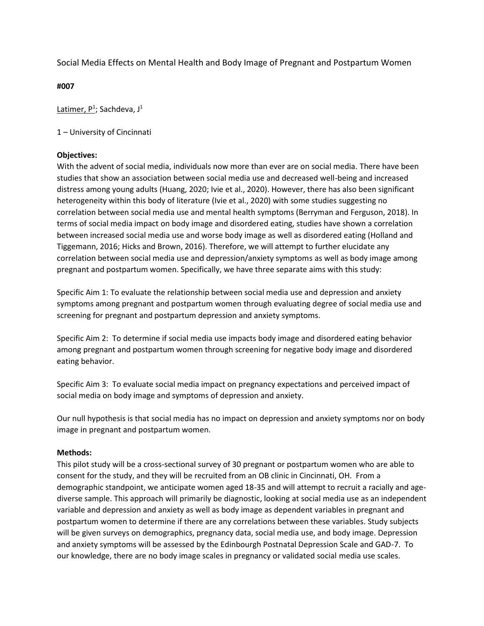Social Media Effects on Mental Health and Body Image of Pregnant and Postpartum Women

**#007**

Latimer, P<sup>1</sup>; Sachdeva, J<sup>1</sup>

1 – University of Cincinnati

#### **Objectives:**

With the advent of social media, individuals now more than ever are on social media. There have been studies that show an association between social media use and decreased well-being and increased distress among young adults (Huang, 2020; Ivie et al., 2020). However, there has also been significant heterogeneity within this body of literature (Ivie et al., 2020) with some studies suggesting no correlation between social media use and mental health symptoms (Berryman and Ferguson, 2018). In terms of social media impact on body image and disordered eating, studies have shown a correlation between increased social media use and worse body image as well as disordered eating (Holland and Tiggemann, 2016; Hicks and Brown, 2016). Therefore, we will attempt to further elucidate any correlation between social media use and depression/anxiety symptoms as well as body image among pregnant and postpartum women. Specifically, we have three separate aims with this study:

Specific Aim 1: To evaluate the relationship between social media use and depression and anxiety symptoms among pregnant and postpartum women through evaluating degree of social media use and screening for pregnant and postpartum depression and anxiety symptoms.

Specific Aim 2: To determine if social media use impacts body image and disordered eating behavior among pregnant and postpartum women through screening for negative body image and disordered eating behavior.

Specific Aim 3: To evaluate social media impact on pregnancy expectations and perceived impact of social media on body image and symptoms of depression and anxiety.

Our null hypothesis is that social media has no impact on depression and anxiety symptoms nor on body image in pregnant and postpartum women.

#### **Methods:**

This pilot study will be a cross-sectional survey of 30 pregnant or postpartum women who are able to consent for the study, and they will be recruited from an OB clinic in Cincinnati, OH. From a demographic standpoint, we anticipate women aged 18-35 and will attempt to recruit a racially and age diverse sample. This approach will primarily be diagnostic, looking at social media use as an independent variable and depression and anxiety as well as body image as dependent variables in pregnant and postpartum women to determine if there are any correlations between these variables. Study subjects will be given surveys on demographics, pregnancy data, social media use, and body image. Depression and anxiety symptoms will be assessed by the Edinbourgh Postnatal Depression Scale and GAD-7. To our knowledge, there are no body image scales in pregnancy or validated social media use scales.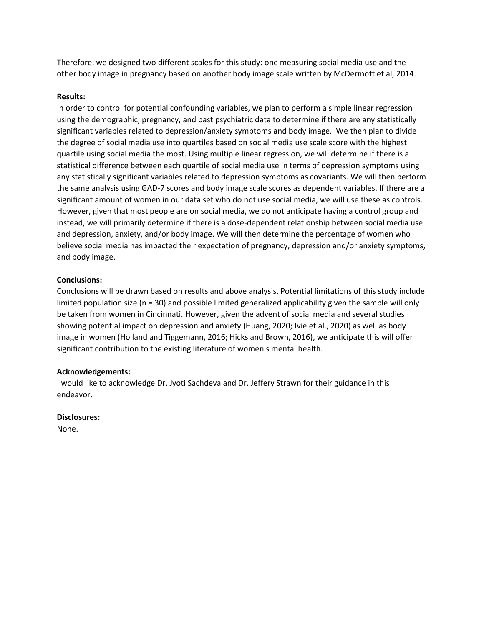Therefore, we designed two different scales for this study: one measuring social media use and the other body image in pregnancy based on another body image scale written by McDermott et al, 2014.

#### **Results:**

In order to control for potential confounding variables, we plan to perform a simple linear regression using the demographic, pregnancy, and past psychiatric data to determine if there are any statistically significant variables related to depression/anxiety symptoms and body image. We then plan to divide the degree of social media use into quartiles based on social media use scale score with the highest quartile using social media the most. Using multiple linear regression, we will determine if there is a statistical difference between each quartile of social media use in terms of depression symptoms using any statistically significant variables related to depression symptoms as covariants. We will then perform the same analysis using GAD-7 scores and body image scale scores as dependent variables. If there are a significant amount of women in our data set who do not use social media, we will use these as controls. However, given that most people are on social media, we do not anticipate having a control group and instead, we will primarily determine if there is a dose-dependent relationship between social media use and depression, anxiety, and/or body image. We will then determine the percentage of women who believe social media has impacted their expectation of pregnancy, depression and/or anxiety symptoms, and body image.

### **Conclusions:**

Conclusions will be drawn based on results and above analysis. Potential limitations of this study include limited population size (n = 30) and possible limited generalized applicability given the sample will only be taken from women in Cincinnati. However, given the advent of social media and several studies showing potential impact on depression and anxiety (Huang, 2020; Ivie et al., 2020) as well as body image in women (Holland and Tiggemann, 2016; Hicks and Brown, 2016), we anticipate this will offer significant contribution to the existing literature of women's mental health.

#### **Acknowledgements:**

I would like to acknowledge Dr. Jyoti Sachdeva and Dr. Jeffery Strawn for their guidance in this endeavor.

#### **Disclosures:**

None.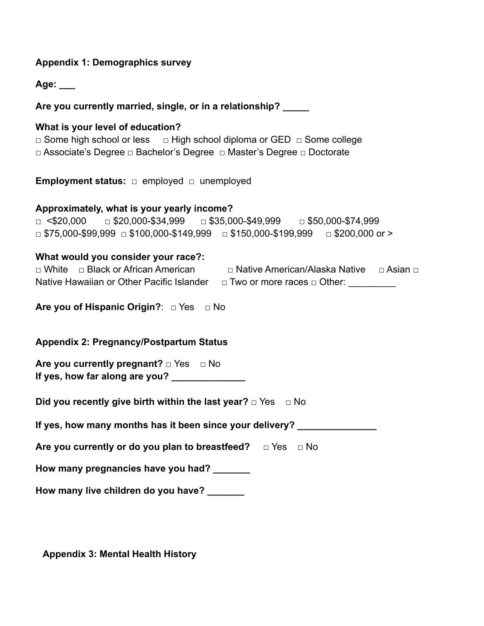## **Appendix 1: Demographics survey**

**Age: \_\_\_**

**Are you currently married, single, or in a relationship? \_\_\_\_\_**

## **What is your level of education?**

□ Some high school or less □ High school diploma or GED □ Some college □ Associate's Degree □ Bachelor's Degree □ Master's Degree □ Doctorate

**Employment status:** □ employed □ unemployed

## **Approximately, what is your yearly income?**

□ <\$20,000 □ \$20,000-\$34,999 □ \$35,000-\$49,999 □ \$50,000-\$74,999  $\Box$  \$75,000-\$99,999  $\Box$  \$100,000-\$149,999  $\Box$  \$150,000-\$199,999  $\Box$  \$200,000 or >

## **What would you consider your race?:**

|                                           | $\Box$ White $\Box$ Black or African American | □ Native American/Alaska Native        |  |
|-------------------------------------------|-----------------------------------------------|----------------------------------------|--|
| Native Hawaiian or Other Pacific Islander |                                               | $\Box$ Two or more races $\Box$ Other: |  |

**Are you of Hispanic Origin?**: □ Yes □ No

## **Appendix 2: Pregnancy/Postpartum Status**

**Are you currently pregnant? □** Yes **□** No **If yes, how far along are you? \_\_\_\_\_\_\_\_\_\_\_\_\_\_**

**Did you recently give birth within the last year?** □ Yes □ No

If yes, how many months has it been since your delivery?

**Are you currently or do you plan to breastfeed?** □ Yes □ No

**How many pregnancies have you had? \_\_\_\_\_\_\_**

**How many live children do you have? \_\_\_\_\_\_\_**

**Appendix 3: Mental Health History**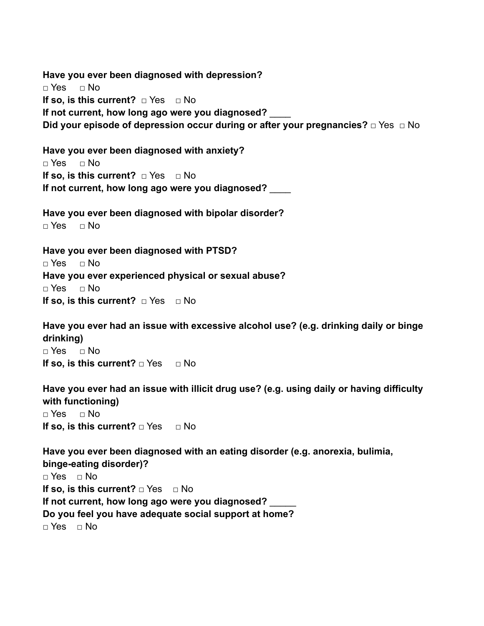**Have you ever been diagnosed with depression?** □ Yes □ No **If so, is this current?** □ Yes □ No If not current, how long ago were you diagnosed? **Did your episode of depression occur during or after your pregnancies?** □ Yes □ No

**Have you ever been diagnosed with anxiety?**  $\neg$  Yes  $\neg$  No **If so, is this current?**  $\Box$  Yes  $\Box$  No **If not current, how long ago were you diagnosed?** \_\_\_\_

**Have you ever been diagnosed with bipolar disorder?**  $\Box$  Yes  $\Box$  No

**Have you ever been diagnosed with PTSD?** □ Yes □ No **Have you ever experienced physical or sexual abuse?** □ Yes □ No **If so, is this current?** □ Yes □ No

**Have you ever had an issue with excessive alcohol use? (e.g. drinking daily or binge drinking)**

 $\Box$  Yes  $\Box$  No **If so, is this current?** □ Yes □ No

**Have you ever had an issue with illicit drug use? (e.g. using daily or having difficulty with functioning)**

 $\neg$  Yes  $\neg$  No **If so, is this current?** □ Yes □ No

**Have you ever been diagnosed with an eating disorder (e.g. anorexia, bulimia, binge-eating disorder)?**  $\neg$  Yes  $\neg$  No **If so, is this current?** □ Yes □ No **If not current, how long ago were you diagnosed?** \_\_\_\_\_ **Do you feel you have adequate social support at home?**  $\neg$  Yes  $\neg$  No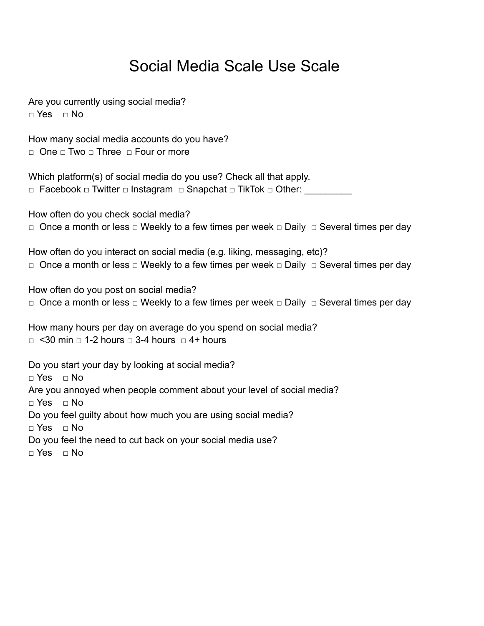## Social Media Scale Use Scale

Are you currently using social media? **□** Yes **□** No

How many social media accounts do you have? □ One □ Two □ Three □ Four or more

Which platform(s) of social media do you use? Check all that apply. □ Facebook □ Twitter □ Instagram □ Snapchat □ TikTok □ Other:

How often do you check social media?

□ Once a month or less □ Weekly to a few times per week □ Daily □ Several times per day

How often do you interact on social media (e.g. liking, messaging, etc)? □ Once a month or less □ Weekly to a few times per week □ Daily □ Several times per day

How often do you post on social media? □ Once a month or less □ Weekly to a few times per week □ Daily □ Several times per day

How many hours per day on average do you spend on social media?  $\Box$  <30 min  $\Box$  1-2 hours  $\Box$  3-4 hours  $\Box$  4+ hours

Do you start your day by looking at social media? **□** Yes **□** No Are you annoyed when people comment about your level of social media? **□** Yes **□** No Do you feel guilty about how much you are using social media? **□** Yes **□** No Do you feel the need to cut back on your social media use? **□** Yes **□** No